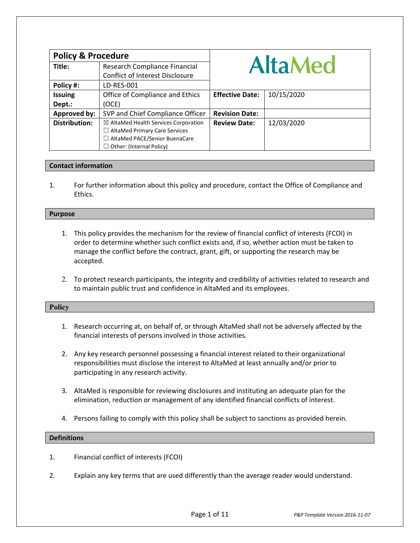| <b>Policy &amp; Procedure</b> |                                                 |                        |            |
|-------------------------------|-------------------------------------------------|------------------------|------------|
| Title:                        | Research Compliance Financial                   | <b>AltaMed</b>         |            |
|                               | <b>Conflict of Interest Disclosure</b>          |                        |            |
| Policy #:                     | LD-RES-001                                      |                        |            |
| <b>Issuing</b>                | Office of Compliance and Ethics                 | <b>Effective Date:</b> | 10/15/2020 |
| Dept.:                        | (OCE)                                           |                        |            |
| Approved by:                  | SVP and Chief Compliance Officer                | <b>Revision Date:</b>  |            |
| <b>Distribution:</b>          | $\boxtimes$ AltaMed Health Services Corporation | <b>Review Date:</b>    | 12/03/2020 |
|                               | $\Box$ AltaMed Primary Care Services            |                        |            |
|                               | □ AltaMed PACE/Senior BuenaCare                 |                        |            |
|                               | Other: (Internal Policy)                        |                        |            |

# **Contact information**

1. For further information about this policy and procedure, contact the Office of Compliance and Ethics.

#### **Purpose**

- 1. This policy provides the mechanism for the review of financial conflict of interests (FCOI) in order to determine whether such conflict exists and, if so, whether action must be taken to manage the conflict before the contract, grant, gift, or supporting the research may be accepted.
- 2. To protect research participants, the integrity and credibility of activities related to research and to maintain public trust and confidence in AltaMed and its employees.

## **Policy**

- 1. Research occurring at, on behalf of, or through AltaMed shall not be adversely affected by the financial interests of persons involved in those activities.
- 2. Any key research personnel possessing a financial interest related to their organizational responsibilities must disclose the interest to AltaMed at least annually and/or prior to participating in any research activity.
- 3. AltaMed is responsible for reviewing disclosures and instituting an adequate plan for the elimination, reduction or management of any identified financial conflicts of interest.
- 4. Persons failing to comply with this policy shall be subject to sanctions as provided herein.

# **Definitions**

- 1. Financial conflict of interests (FCOI)
- 2. Explain any key terms that are used differently than the average reader would understand.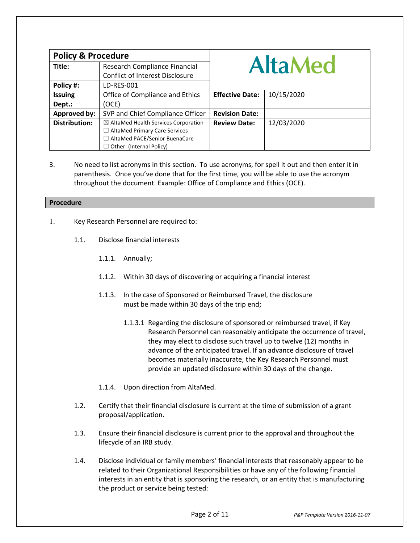| <b>Policy &amp; Procedure</b> |                                                 |                        |            |
|-------------------------------|-------------------------------------------------|------------------------|------------|
| Title:                        | Research Compliance Financial                   | <b>AltaMed</b>         |            |
|                               | <b>Conflict of Interest Disclosure</b>          |                        |            |
| Policy #:                     | LD-RES-001                                      |                        |            |
| <b>Issuing</b>                | Office of Compliance and Ethics                 | <b>Effective Date:</b> | 10/15/2020 |
| Dept.:                        | (OCE)                                           |                        |            |
| Approved by:                  | SVP and Chief Compliance Officer                | <b>Revision Date:</b>  |            |
| <b>Distribution:</b>          | $\boxtimes$ AltaMed Health Services Corporation | <b>Review Date:</b>    | 12/03/2020 |
|                               | $\Box$ AltaMed Primary Care Services            |                        |            |
|                               | □ AltaMed PACE/Senior BuenaCare                 |                        |            |
|                               | Other: (Internal Policy)                        |                        |            |

3. No need to list acronyms in this section. To use acronyms, for spell it out and then enter it in parenthesis. Once you've done that for the first time, you will be able to use the acronym throughout the document. Example: Office of Compliance and Ethics (OCE).

### **Procedure**

- 1. Key Research Personnel are required to:
	- 1.1. Disclose financial interests
		- 1.1.1. Annually;
		- 1.1.2. Within 30 days of discovering or acquiring a financial interest
		- 1.1.3. In the case of Sponsored or Reimbursed Travel, the disclosure must be made within 30 days of the trip end;
			- 1.1.3.1 Regarding the disclosure of sponsored or reimbursed travel, if Key Research Personnel can reasonably anticipate the occurrence of travel, they may elect to disclose such travel up to twelve (12) months in advance of the anticipated travel. If an advance disclosure of travel becomes materially inaccurate, the Key Research Personnel must provide an updated disclosure within 30 days of the change.
		- 1.1.4. Upon direction from AltaMed.
	- 1.2. Certify that their financial disclosure is current at the time of submission of a grant proposal/application.
	- 1.3. Ensure their financial disclosure is current prior to the approval and throughout the lifecycle of an IRB study.
	- 1.4. Disclose individual or family members' financial interests that reasonably appear to be related to their Organizational Responsibilities or have any of the following financial interests in an entity that is sponsoring the research, or an entity that is manufacturing the product or service being tested: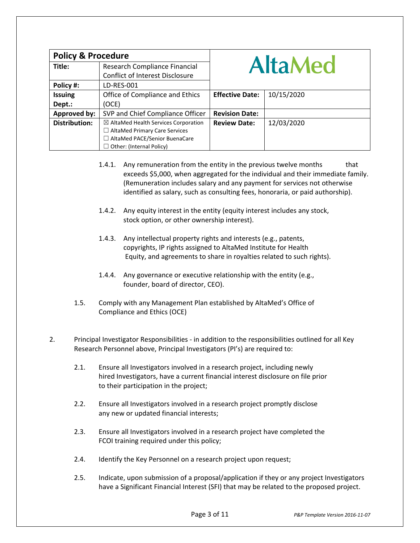| <b>Policy &amp; Procedure</b> |                                                 |                        |            |
|-------------------------------|-------------------------------------------------|------------------------|------------|
| Title:                        | Research Compliance Financial                   | <b>AltaMed</b>         |            |
|                               | <b>Conflict of Interest Disclosure</b>          |                        |            |
| Policy #:                     | LD-RES-001                                      |                        |            |
| <b>Issuing</b>                | Office of Compliance and Ethics                 | <b>Effective Date:</b> | 10/15/2020 |
| Dept.:                        | (OCE)                                           |                        |            |
| Approved by:                  | SVP and Chief Compliance Officer                | <b>Revision Date:</b>  |            |
| <b>Distribution:</b>          | $\boxtimes$ AltaMed Health Services Corporation | <b>Review Date:</b>    | 12/03/2020 |
|                               | $\Box$ AltaMed Primary Care Services            |                        |            |
|                               | □ AltaMed PACE/Senior BuenaCare                 |                        |            |
|                               | Other: (Internal Policy)                        |                        |            |

- 1.4.1. Any remuneration from the entity in the previous twelve months that exceeds \$5,000, when aggregated for the individual and their immediate family. (Remuneration includes salary and any payment for services not otherwise identified as salary, such as consulting fees, honoraria, or paid authorship).
- 1.4.2. Any equity interest in the entity (equity interest includes any stock, stock option, or other ownership interest).
- 1.4.3. Any intellectual property rights and interests (e.g., patents, copyrights, IP rights assigned to AltaMed Institute for Health Equity, and agreements to share in royalties related to such rights).
- 1.4.4. Any governance or executive relationship with the entity (e.g., founder, board of director, CEO).
- 1.5. Comply with any Management Plan established by AltaMed's Office of Compliance and Ethics (OCE)
- 2. Principal Investigator Responsibilities in addition to the responsibilities outlined for all Key Research Personnel above, Principal Investigators (PI's) are required to:
	- 2.1. Ensure all Investigators involved in a research project, including newly hired Investigators, have a current financial interest disclosure on file prior to their participation in the project;
	- 2.2. Ensure all Investigators involved in a research project promptly disclose any new or updated financial interests;
	- 2.3. Ensure all Investigators involved in a research project have completed the FCOI training required under this policy;
	- 2.4. Identify the Key Personnel on a research project upon request;
	- 2.5. Indicate, upon submission of a proposal/application if they or any project Investigators have a Significant Financial Interest (SFI) that may be related to the proposed project.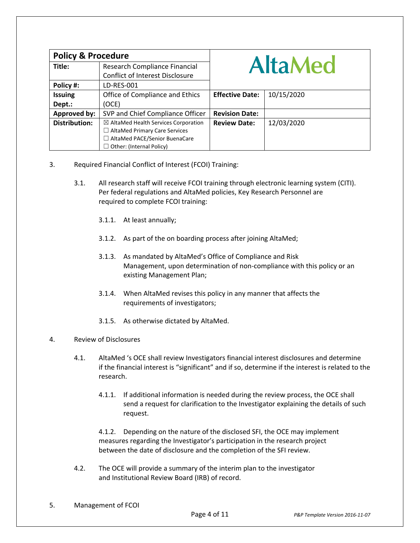| <b>Policy &amp; Procedure</b> |                                                 |                        |            |
|-------------------------------|-------------------------------------------------|------------------------|------------|
| Title:                        | Research Compliance Financial                   | <b>AltaMed</b>         |            |
|                               | <b>Conflict of Interest Disclosure</b>          |                        |            |
| Policy #:                     | LD-RES-001                                      |                        |            |
| <b>Issuing</b>                | Office of Compliance and Ethics                 | <b>Effective Date:</b> | 10/15/2020 |
| Dept.:                        | (OCE)                                           |                        |            |
| <b>Approved by:</b>           | SVP and Chief Compliance Officer                | <b>Revision Date:</b>  |            |
| <b>Distribution:</b>          | $\boxtimes$ AltaMed Health Services Corporation | <b>Review Date:</b>    | 12/03/2020 |
|                               | $\Box$ AltaMed Primary Care Services            |                        |            |
|                               | □ AltaMed PACE/Senior BuenaCare                 |                        |            |
|                               | Other: (Internal Policy)                        |                        |            |

- 3. Required Financial Conflict of Interest (FCOI) Training:
	- 3.1. All research staff will receive FCOI training through electronic learning system (CITI). Per federal regulations and AltaMed policies, Key Research Personnel are required to complete FCOI training:
		- 3.1.1. At least annually;
		- 3.1.2. As part of the on boarding process after joining AltaMed;
		- 3.1.3. As mandated by AltaMed's Office of Compliance and Risk Management, upon determination of non-compliance with this policy or an existing Management Plan;
		- 3.1.4. When AltaMed revises this policy in any manner that affects the requirements of investigators;
		- 3.1.5. As otherwise dictated by AltaMed.

## 4. Review of Disclosures

- 4.1. AltaMed 's OCE shall review Investigators financial interest disclosures and determine if the financial interest is "significant" and if so, determine if the interest is related to the research.
	- 4.1.1. If additional information is needed during the review process, the OCE shall send a request for clarification to the Investigator explaining the details of such request.

4.1.2. Depending on the nature of the disclosed SFI, the OCE may implement measures regarding the Investigator's participation in the research project between the date of disclosure and the completion of the SFI review.

4.2. The OCE will provide a summary of the interim plan to the investigator and Institutional Review Board (IRB) of record.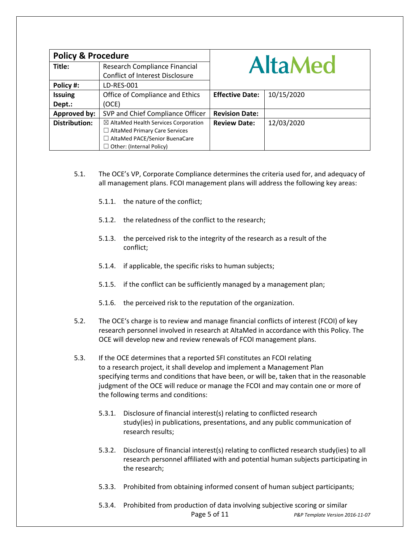| <b>Policy &amp; Procedure</b> |                                                 |                        |            |
|-------------------------------|-------------------------------------------------|------------------------|------------|
| Title:                        | Research Compliance Financial                   | <b>AltaMed</b>         |            |
|                               | <b>Conflict of Interest Disclosure</b>          |                        |            |
| Policy #:                     | LD-RES-001                                      |                        |            |
| <b>Issuing</b>                | Office of Compliance and Ethics                 | <b>Effective Date:</b> | 10/15/2020 |
| Dept.:                        | (OCE)                                           |                        |            |
| Approved by:                  | SVP and Chief Compliance Officer                | <b>Revision Date:</b>  |            |
| <b>Distribution:</b>          | $\boxtimes$ AltaMed Health Services Corporation | <b>Review Date:</b>    | 12/03/2020 |
|                               | $\Box$ AltaMed Primary Care Services            |                        |            |
|                               | □ AltaMed PACE/Senior BuenaCare                 |                        |            |
|                               | $\Box$ Other: (Internal Policy)                 |                        |            |

- 5.1. The OCE's VP, Corporate Compliance determines the criteria used for, and adequacy of all management plans. FCOI management plans will address the following key areas:
	- 5.1.1. the nature of the conflict;
	- 5.1.2. the relatedness of the conflict to the research;
	- 5.1.3. the perceived risk to the integrity of the research as a result of the conflict;
	- 5.1.4. if applicable, the specific risks to human subjects;
	- 5.1.5. if the conflict can be sufficiently managed by a management plan;
	- 5.1.6. the perceived risk to the reputation of the organization.
- 5.2. The OCE's charge is to review and manage financial conflicts of interest (FCOI) of key research personnel involved in research at AltaMed in accordance with this Policy. The OCE will develop new and review renewals of FCOI management plans.
- 5.3. If the OCE determines that a reported SFI constitutes an FCOI relating to a research project, it shall develop and implement a Management Plan specifying terms and conditions that have been, or will be, taken that in the reasonable judgment of the OCE will reduce or manage the FCOI and may contain one or more of the following terms and conditions:
	- 5.3.1. Disclosure of financial interest(s) relating to conflicted research study(ies) in publications, presentations, and any public communication of research results;
	- 5.3.2. Disclosure of financial interest(s) relating to conflicted research study(ies) to all research personnel affiliated with and potential human subjects participating in the research;
	- 5.3.3. Prohibited from obtaining informed consent of human subject participants;
	- Page 5 of 11 *P&P Template Version 2016-11-07* 5.3.4. Prohibited from production of data involving subjective scoring or similar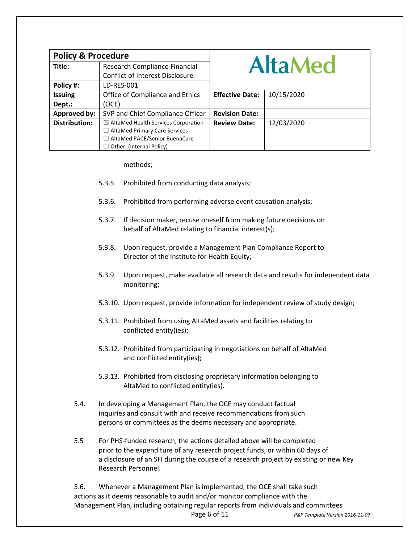| <b>Policy &amp; Procedure</b> |                                        |                        |            |
|-------------------------------|----------------------------------------|------------------------|------------|
| Title:                        | Research Compliance Financial          | <b>AltaMed</b>         |            |
|                               | <b>Conflict of Interest Disclosure</b> |                        |            |
| Policy #:                     | LD-RES-001                             |                        |            |
| <b>Issuing</b>                | Office of Compliance and Ethics        | <b>Effective Date:</b> | 10/15/2020 |
| Dept.:                        | (OCE)                                  |                        |            |
| Approved by:                  | SVP and Chief Compliance Officer       | <b>Revision Date:</b>  |            |
| <b>Distribution:</b>          | ⊠ AltaMed Health Services Corporation  | <b>Review Date:</b>    | 12/03/2020 |
|                               | $\Box$ AltaMed Primary Care Services   |                        |            |
|                               | □ AltaMed PACE/Senior BuenaCare        |                        |            |
|                               | $\Box$ Other: (Internal Policy)        |                        |            |

### methods;

- 5.3.5. Prohibited from conducting data analysis;
- 5.3.6. Prohibited from performing adverse event causation analysis;
- 5.3.7. If decision maker, recuse oneself from making future decisions on behalf of AltaMed relating to financial interest(s);
- 5.3.8. Upon request, provide a Management Plan Compliance Report to Director of the Institute for Health Equity;
- 5.3.9. Upon request, make available all research data and results for independent data monitoring;
- 5.3.10. Upon request, provide information for independent review of study design;
- 5.3.11. Prohibited from using AltaMed assets and facilities relating to conflicted entity(ies);
- 5.3.12. Prohibited from participating in negotiations on behalf of AltaMed and conflicted entity(ies);
- 5.3.13. Prohibited from disclosing proprietary information belonging to AltaMed to conflicted entity(ies).
- 5.4. In developing a Management Plan, the OCE may conduct factual inquiries and consult with and receive recommendations from such persons or committees as the deems necessary and appropriate.
- 5.5 For PHS-funded research, the actions detailed above will be completed prior to the expenditure of any research project funds, or within 60 days of a disclosure of an SFI during the course of a research project by existing or new Key Research Personnel.

Page 6 of 11 *P&P Template Version 2016-11-07* 5.6. Whenever a Management Plan is implemented, the OCE shall take such actions as it deems reasonable to audit and/or monitor compliance with the Management Plan, including obtaining regular reports from individuals and committees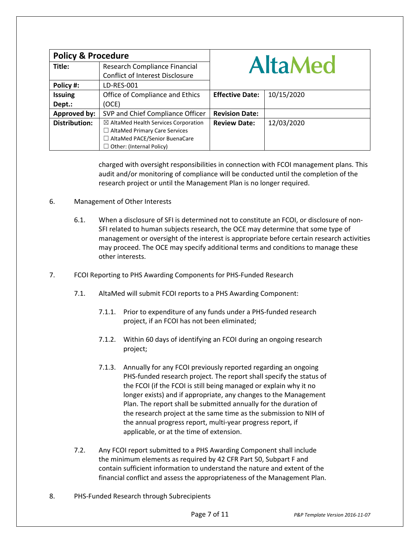| <b>Policy &amp; Procedure</b> |                                                 |                        |            |
|-------------------------------|-------------------------------------------------|------------------------|------------|
| Title:                        | Research Compliance Financial                   | <b>AltaMed</b>         |            |
|                               | <b>Conflict of Interest Disclosure</b>          |                        |            |
| Policy #:                     | LD-RES-001                                      |                        |            |
| <b>Issuing</b>                | Office of Compliance and Ethics                 | <b>Effective Date:</b> | 10/15/2020 |
| Dept.:                        | (OCE)                                           |                        |            |
| Approved by:                  | SVP and Chief Compliance Officer                | <b>Revision Date:</b>  |            |
| <b>Distribution:</b>          | $\boxtimes$ AltaMed Health Services Corporation | <b>Review Date:</b>    | 12/03/2020 |
|                               | $\Box$ AltaMed Primary Care Services            |                        |            |
|                               | □ AltaMed PACE/Senior BuenaCare                 |                        |            |
|                               | $\Box$ Other: (Internal Policy)                 |                        |            |

charged with oversight responsibilities in connection with FCOI management plans. This audit and/or monitoring of compliance will be conducted until the completion of the research project or until the Management Plan is no longer required.

## 6. Management of Other Interests

- 6.1. When a disclosure of SFI is determined not to constitute an FCOI, or disclosure of non-SFI related to human subjects research, the OCE may determine that some type of management or oversight of the interest is appropriate before certain research activities may proceed. The OCE may specify additional terms and conditions to manage these other interests.
- 7. FCOI Reporting to PHS Awarding Components for PHS-Funded Research
	- 7.1. AltaMed will submit FCOI reports to a PHS Awarding Component:
		- 7.1.1. Prior to expenditure of any funds under a PHS-funded research project, if an FCOI has not been eliminated;
		- 7.1.2. Within 60 days of identifying an FCOI during an ongoing research project;
		- 7.1.3. Annually for any FCOI previously reported regarding an ongoing PHS-funded research project. The report shall specify the status of the FCOI (if the FCOI is still being managed or explain why it no longer exists) and if appropriate, any changes to the Management Plan. The report shall be submitted annually for the duration of the research project at the same time as the submission to NIH of the annual progress report, multi-year progress report, if applicable, or at the time of extension.
	- 7.2. Any FCOI report submitted to a PHS Awarding Component shall include the minimum elements as required by 42 CFR Part 50, Subpart F and contain sufficient information to understand the nature and extent of the financial conflict and assess the appropriateness of the Management Plan.
- 8. PHS-Funded Research through Subrecipients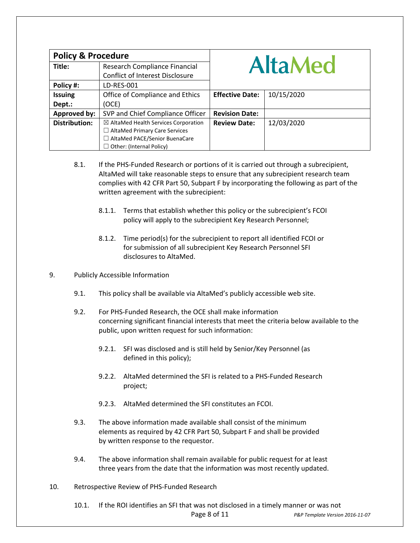| <b>Policy &amp; Procedure</b> |                                                 |                        |            |
|-------------------------------|-------------------------------------------------|------------------------|------------|
| Title:                        | Research Compliance Financial                   | <b>AltaMed</b>         |            |
|                               | <b>Conflict of Interest Disclosure</b>          |                        |            |
| Policy #:                     | LD-RES-001                                      |                        |            |
| <b>Issuing</b>                | Office of Compliance and Ethics                 | <b>Effective Date:</b> | 10/15/2020 |
| Dept.:                        | (OCE)                                           |                        |            |
| Approved by:                  | SVP and Chief Compliance Officer                | <b>Revision Date:</b>  |            |
| <b>Distribution:</b>          | $\boxtimes$ AltaMed Health Services Corporation | <b>Review Date:</b>    | 12/03/2020 |
|                               | $\Box$ AltaMed Primary Care Services            |                        |            |
|                               | $\Box$ AltaMed PACE/Senior BuenaCare            |                        |            |
|                               | Other: (Internal Policy)                        |                        |            |

- 8.1. If the PHS-Funded Research or portions of it is carried out through a subrecipient, AltaMed will take reasonable steps to ensure that any subrecipient research team complies with 42 CFR Part 50, Subpart F by incorporating the following as part of the written agreement with the subrecipient:
	- 8.1.1. Terms that establish whether this policy or the subrecipient's FCOI policy will apply to the subrecipient Key Research Personnel;
	- 8.1.2. Time period(s) for the subrecipient to report all identified FCOI or for submission of all subrecipient Key Research Personnel SFI disclosures to AltaMed.
- 9. Publicly Accessible Information
	- 9.1. This policy shall be available via AltaMed's publicly accessible web site.
	- 9.2. For PHS-Funded Research, the OCE shall make information concerning significant financial interests that meet the criteria below available to the public, upon written request for such information:
		- 9.2.1. SFI was disclosed and is still held by Senior/Key Personnel (as defined in this policy);
		- 9.2.2. AltaMed determined the SFI is related to a PHS-Funded Research project;
		- 9.2.3. AltaMed determined the SFI constitutes an FCOI.
	- 9.3. The above information made available shall consist of the minimum elements as required by 42 CFR Part 50, Subpart F and shall be provided by written response to the requestor.
	- 9.4. The above information shall remain available for public request for at least three years from the date that the information was most recently updated.
- 10. Retrospective Review of PHS-Funded Research

Page 8 of 11 *P&P Template Version 2016-11-07* 10.1. If the ROI identifies an SFI that was not disclosed in a timely manner or was not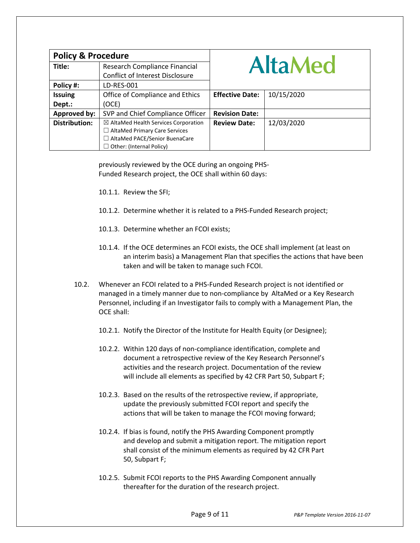| <b>Policy &amp; Procedure</b> |                                                 |                        |            |
|-------------------------------|-------------------------------------------------|------------------------|------------|
| Title:                        | Research Compliance Financial                   | <b>AltaMed</b>         |            |
|                               | <b>Conflict of Interest Disclosure</b>          |                        |            |
| Policy #:                     | LD-RES-001                                      |                        |            |
| <b>Issuing</b>                | Office of Compliance and Ethics                 | <b>Effective Date:</b> | 10/15/2020 |
| Dept.:                        | (OCE)                                           |                        |            |
| Approved by:                  | SVP and Chief Compliance Officer                | <b>Revision Date:</b>  |            |
| <b>Distribution:</b>          | $\boxtimes$ AltaMed Health Services Corporation | <b>Review Date:</b>    | 12/03/2020 |
|                               | $\Box$ AltaMed Primary Care Services            |                        |            |
|                               | □ AltaMed PACE/Senior BuenaCare                 |                        |            |
|                               | $\Box$ Other: (Internal Policy)                 |                        |            |

previously reviewed by the OCE during an ongoing PHS-Funded Research project, the OCE shall within 60 days:

10.1.1. Review the SFI;

- 10.1.2. Determine whether it is related to a PHS-Funded Research project;
- 10.1.3. Determine whether an FCOI exists;
- 10.1.4. If the OCE determines an FCOI exists, the OCE shall implement (at least on an interim basis) a Management Plan that specifies the actions that have been taken and will be taken to manage such FCOI.
- 10.2. Whenever an FCOI related to a PHS-Funded Research project is not identified or managed in a timely manner due to non-compliance by AltaMed or a Key Research Personnel, including if an Investigator fails to comply with a Management Plan, the OCE shall:
	- 10.2.1. Notify the Director of the Institute for Health Equity (or Designee);
	- 10.2.2. Within 120 days of non-compliance identification, complete and document a retrospective review of the Key Research Personnel's activities and the research project. Documentation of the review will include all elements as specified by 42 CFR Part 50, Subpart F;
	- 10.2.3. Based on the results of the retrospective review, if appropriate, update the previously submitted FCOI report and specify the actions that will be taken to manage the FCOI moving forward;
	- 10.2.4. If bias is found, notify the PHS Awarding Component promptly and develop and submit a mitigation report. The mitigation report shall consist of the minimum elements as required by 42 CFR Part 50, Subpart F;
	- 10.2.5. Submit FCOI reports to the PHS Awarding Component annually thereafter for the duration of the research project.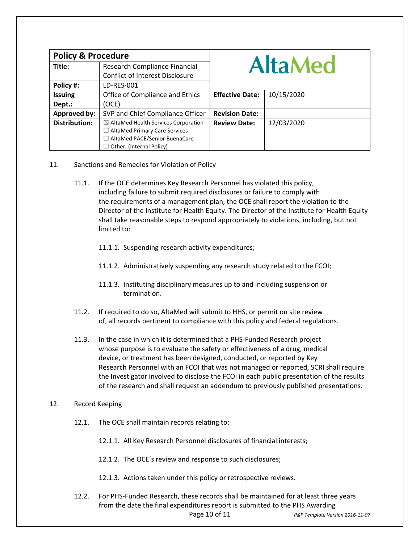| <b>Policy &amp; Procedure</b> |                                                 |                        |            |
|-------------------------------|-------------------------------------------------|------------------------|------------|
| Title:                        | Research Compliance Financial                   | <b>AltaMed</b>         |            |
|                               | <b>Conflict of Interest Disclosure</b>          |                        |            |
| Policy #:                     | LD-RES-001                                      |                        |            |
| <b>Issuing</b>                | Office of Compliance and Ethics                 | <b>Effective Date:</b> | 10/15/2020 |
| Dept.:                        | (OCE)                                           |                        |            |
| Approved by:                  | SVP and Chief Compliance Officer                | <b>Revision Date:</b>  |            |
| <b>Distribution:</b>          | $\boxtimes$ AltaMed Health Services Corporation | <b>Review Date:</b>    | 12/03/2020 |
|                               | $\Box$ AltaMed Primary Care Services            |                        |            |
|                               | $\Box$ AltaMed PACE/Senior BuenaCare            |                        |            |
|                               | $\Box$ Other: (Internal Policy)                 |                        |            |

- 11. Sanctions and Remedies for Violation of Policy
	- 11.1. If the OCE determines Key Research Personnel has violated this policy, including failure to submit required disclosures or failure to comply with the requirements of a management plan, the OCE shall report the violation to the Director of the Institute for Health Equity. The Director of the Institute for Health Equity shall take reasonable steps to respond appropriately to violations, including, but not limited to:
		- 11.1.1. Suspending research activity expenditures;
		- 11.1.2. Administratively suspending any research study related to the FCOI;
		- 11.1.3. Instituting disciplinary measures up to and including suspension or termination.
	- 11.2. If required to do so, AltaMed will submit to HHS, or permit on site review of, all records pertinent to compliance with this policy and federal regulations.
	- 11.3. In the case in which it is determined that a PHS-Funded Research project whose purpose is to evaluate the safety or effectiveness of a drug, medical device, or treatment has been designed, conducted, or reported by Key Research Personnel with an FCOI that was not managed or reported, SCRI shall require the Investigator involved to disclose the FCOI in each public presentation of the results of the research and shall request an addendum to previously published presentations.

## 12. Record Keeping

- 12.1. The OCE shall maintain records relating to:
	- 12.1.1. All Key Research Personnel disclosures of financial interests;
	- 12.1.2. The OCE's review and response to such disclosures;
	- 12.1.3. Actions taken under this policy or retrospective reviews.
- Page 10 of 11 *P&P Template Version 2016-11-07* 12.2. For PHS-Funded Research, these records shall be maintained for at least three years from the date the final expenditures report is submitted to the PHS Awarding